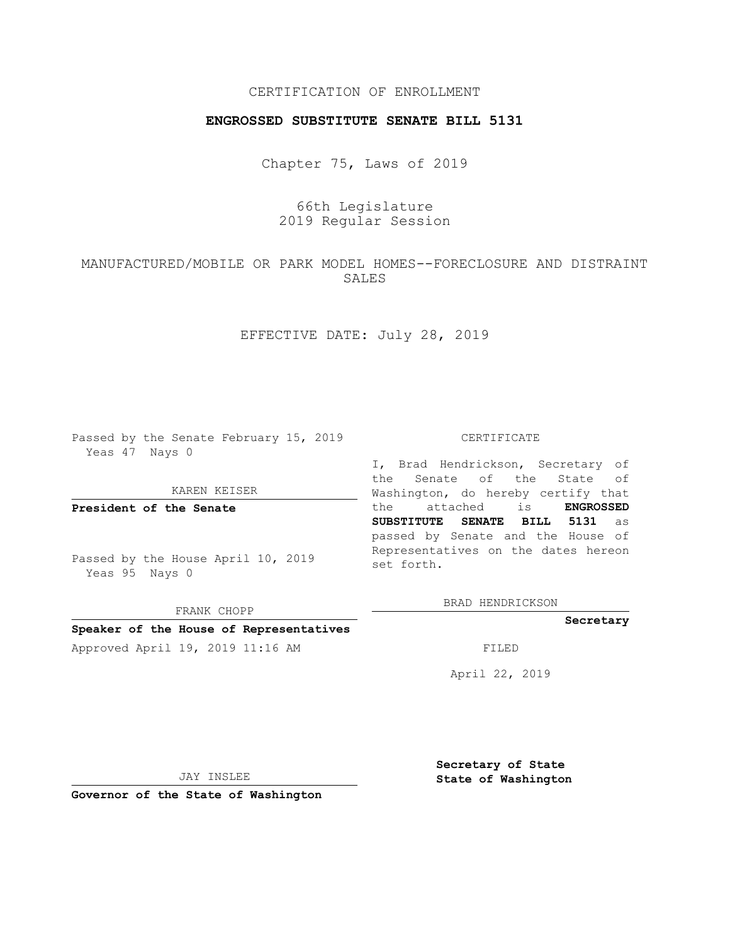## CERTIFICATION OF ENROLLMENT

## **ENGROSSED SUBSTITUTE SENATE BILL 5131**

Chapter 75, Laws of 2019

## 66th Legislature 2019 Regular Session

# MANUFACTURED/MOBILE OR PARK MODEL HOMES--FORECLOSURE AND DISTRAINT SALES

EFFECTIVE DATE: July 28, 2019

Passed by the Senate February 15, 2019 Yeas 47 Nays 0

KAREN KEISER

**President of the Senate**

Passed by the House April 10, 2019 Yeas 95 Nays 0

FRANK CHOPP **Speaker of the House of Representatives**

#### CERTIFICATE

I, Brad Hendrickson, Secretary of the Senate of the State of Washington, do hereby certify that the attached is **ENGROSSED SUBSTITUTE SENATE BILL 5131** as passed by Senate and the House of Representatives on the dates hereon set forth.

BRAD HENDRICKSON

### **Secretary**

Approved April 19, 2019 11:16 AM FILED

April 22, 2019

JAY INSLEE

**Governor of the State of Washington**

**Secretary of State State of Washington**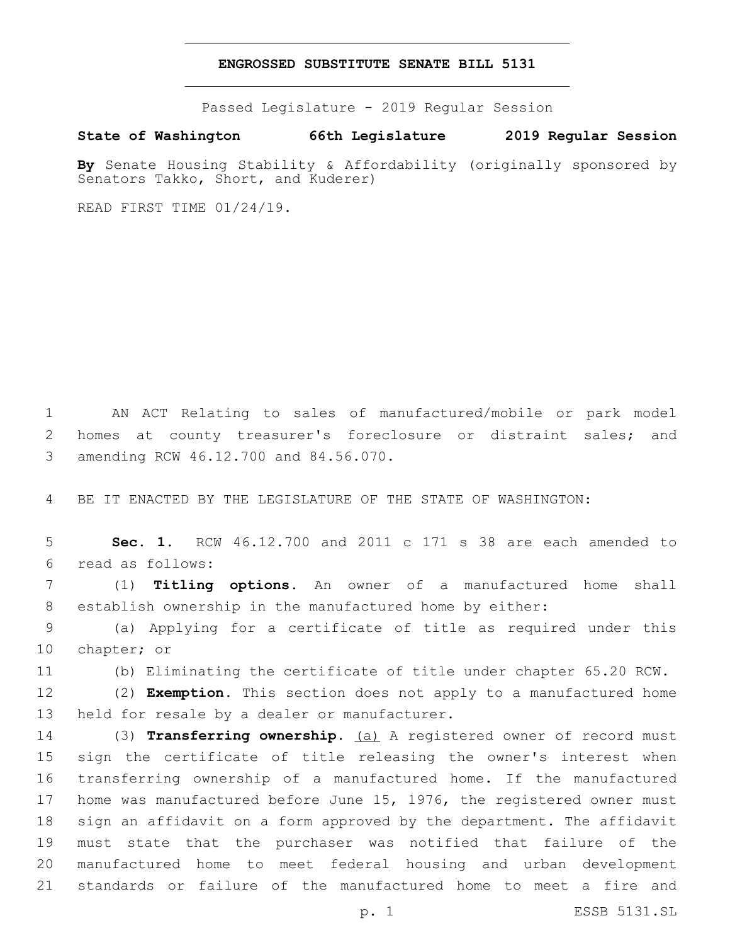### **ENGROSSED SUBSTITUTE SENATE BILL 5131**

Passed Legislature - 2019 Regular Session

**State of Washington 66th Legislature 2019 Regular Session**

**By** Senate Housing Stability & Affordability (originally sponsored by Senators Takko, Short, and Kuderer)

READ FIRST TIME 01/24/19.

 AN ACT Relating to sales of manufactured/mobile or park model homes at county treasurer's foreclosure or distraint sales; and 3 amending RCW 46.12.700 and 84.56.070.

BE IT ENACTED BY THE LEGISLATURE OF THE STATE OF WASHINGTON:

 **Sec. 1.** RCW 46.12.700 and 2011 c 171 s 38 are each amended to read as follows:6

 (1) **Titling options.** An owner of a manufactured home shall establish ownership in the manufactured home by either:

 (a) Applying for a certificate of title as required under this 10 chapter; or

(b) Eliminating the certificate of title under chapter 65.20 RCW.

 (2) **Exemption.** This section does not apply to a manufactured home 13 held for resale by a dealer or manufacturer.

 (3) **Transferring ownership.** (a) A registered owner of record must sign the certificate of title releasing the owner's interest when transferring ownership of a manufactured home. If the manufactured home was manufactured before June 15, 1976, the registered owner must sign an affidavit on a form approved by the department. The affidavit must state that the purchaser was notified that failure of the manufactured home to meet federal housing and urban development standards or failure of the manufactured home to meet a fire and

p. 1 ESSB 5131.SL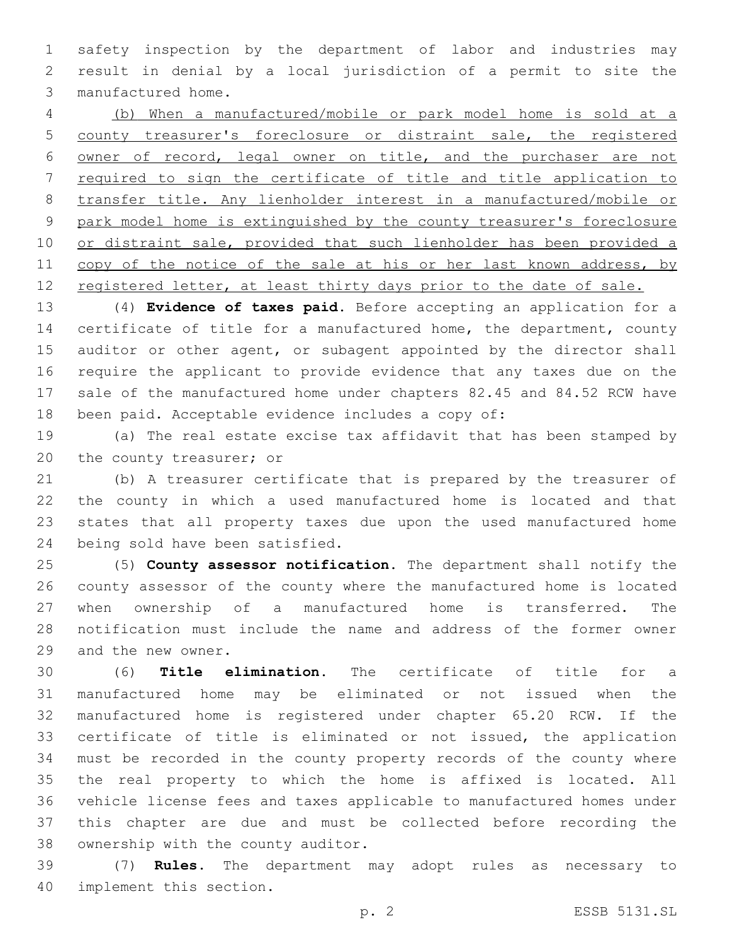safety inspection by the department of labor and industries may result in denial by a local jurisdiction of a permit to site the 3 manufactured home.

 (b) When a manufactured/mobile or park model home is sold at a county treasurer's foreclosure or distraint sale, the registered owner of record, legal owner on title, and the purchaser are not required to sign the certificate of title and title application to transfer title. Any lienholder interest in a manufactured/mobile or park model home is extinguished by the county treasurer's foreclosure 10 or distraint sale, provided that such lienholder has been provided a 11 copy of the notice of the sale at his or her last known address, by 12 registered letter, at least thirty days prior to the date of sale.

 (4) **Evidence of taxes paid.** Before accepting an application for a 14 certificate of title for a manufactured home, the department, county 15 auditor or other agent, or subagent appointed by the director shall require the applicant to provide evidence that any taxes due on the sale of the manufactured home under chapters 82.45 and 84.52 RCW have been paid. Acceptable evidence includes a copy of:

 (a) The real estate excise tax affidavit that has been stamped by 20 the county treasurer; or

 (b) A treasurer certificate that is prepared by the treasurer of the county in which a used manufactured home is located and that states that all property taxes due upon the used manufactured home 24 being sold have been satisfied.

 (5) **County assessor notification.** The department shall notify the county assessor of the county where the manufactured home is located when ownership of a manufactured home is transferred. The notification must include the name and address of the former owner 29 and the new owner.

 (6) **Title elimination.** The certificate of title for a manufactured home may be eliminated or not issued when the manufactured home is registered under chapter 65.20 RCW. If the certificate of title is eliminated or not issued, the application must be recorded in the county property records of the county where the real property to which the home is affixed is located. All vehicle license fees and taxes applicable to manufactured homes under this chapter are due and must be collected before recording the 38 ownership with the county auditor.

 (7) **Rules.** The department may adopt rules as necessary to 40 implement this section.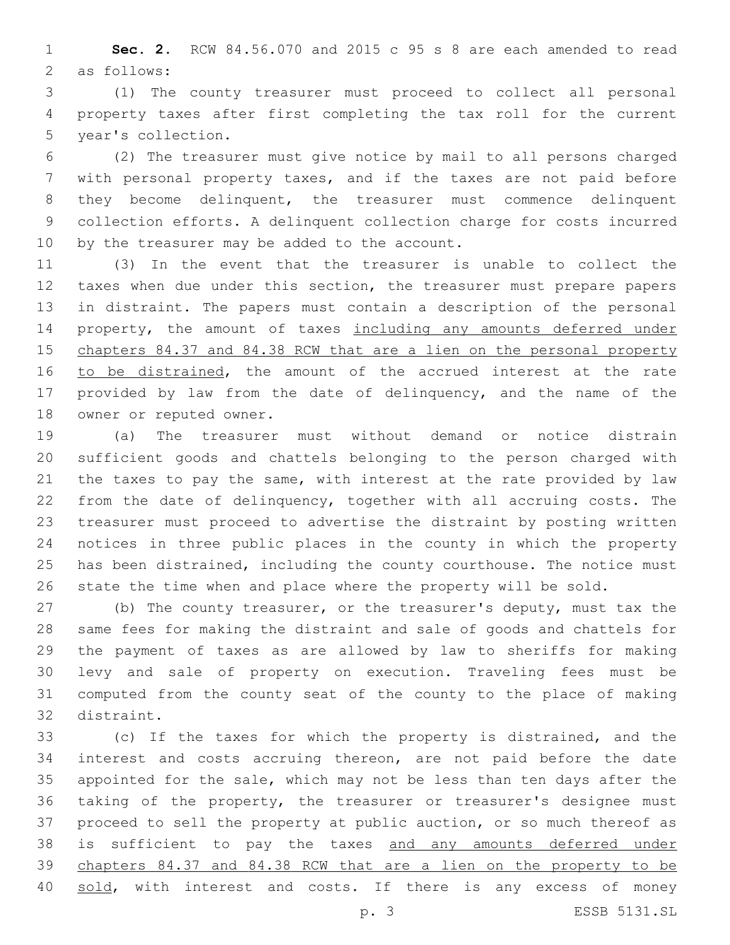**Sec. 2.** RCW 84.56.070 and 2015 c 95 s 8 are each amended to read 2 as follows:

 (1) The county treasurer must proceed to collect all personal property taxes after first completing the tax roll for the current 5 year's collection.

 (2) The treasurer must give notice by mail to all persons charged with personal property taxes, and if the taxes are not paid before they become delinquent, the treasurer must commence delinquent collection efforts. A delinquent collection charge for costs incurred 10 by the treasurer may be added to the account.

 (3) In the event that the treasurer is unable to collect the taxes when due under this section, the treasurer must prepare papers in distraint. The papers must contain a description of the personal 14 property, the amount of taxes including any amounts deferred under chapters 84.37 and 84.38 RCW that are a lien on the personal property 16 to be distrained, the amount of the accrued interest at the rate provided by law from the date of delinquency, and the name of the 18 owner or reputed owner.

 (a) The treasurer must without demand or notice distrain sufficient goods and chattels belonging to the person charged with the taxes to pay the same, with interest at the rate provided by law from the date of delinquency, together with all accruing costs. The treasurer must proceed to advertise the distraint by posting written notices in three public places in the county in which the property 25 has been distrained, including the county courthouse. The notice must state the time when and place where the property will be sold.

 (b) The county treasurer, or the treasurer's deputy, must tax the same fees for making the distraint and sale of goods and chattels for the payment of taxes as are allowed by law to sheriffs for making levy and sale of property on execution. Traveling fees must be computed from the county seat of the county to the place of making 32 distraint.

 (c) If the taxes for which the property is distrained, and the interest and costs accruing thereon, are not paid before the date appointed for the sale, which may not be less than ten days after the taking of the property, the treasurer or treasurer's designee must proceed to sell the property at public auction, or so much thereof as 38 is sufficient to pay the taxes and any amounts deferred under chapters 84.37 and 84.38 RCW that are a lien on the property to be 40 sold, with interest and costs. If there is any excess of money